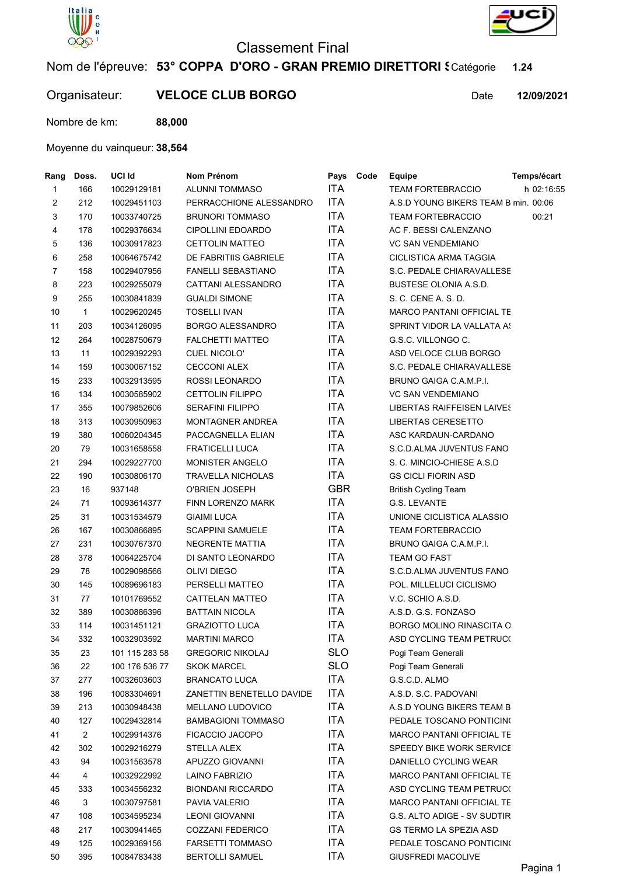

## Classement Final



Organisateur: VELOCE CLUB BORGO Date



12/09/2021

Nombre de km: 88,000

## Moyenne du vainqueur: 38,564

| Temps/écart                            |
|----------------------------------------|
| h 02:16:55<br><b>TEAM FORTEBRACCIO</b> |
| A.S.D YOUNG BIKERS TEAM B min. 00:06   |
| <b>TEAM FORTEBRACCIO</b><br>00:21      |
| AC F. BESSI CALENZANO                  |
| <b>VC SAN VENDEMIANO</b>               |
| CICLISTICA ARMA TAGGIA                 |
| S.C. PEDALE CHIARAVALLESE              |
| <b>BUSTESE OLONIA A.S.D.</b>           |
| S. C. CENE A. S. D.                    |
| MARCO PANTANI OFFICIAL TE              |
| SPRINT VIDOR LA VALLATA A!             |
| G.S.C. VILLONGO C.                     |
| ASD VELOCE CLUB BORGO                  |
| S.C. PEDALE CHIARAVALLESE              |
| BRUNO GAIGA C.A.M.P.I.                 |
| <b>VC SAN VENDEMIANO</b>               |
| LIBERTAS RAIFFEISEN LAIVES             |
| LIBERTAS CERESETTO                     |
| ASC KARDAUN-CARDANO                    |
| S.C.D.ALMA JUVENTUS FANO               |
| S. C. MINCIO-CHIESE A S.D              |
| <b>GS CICLI FIORIN ASD</b>             |
| <b>British Cycling Team</b>            |
|                                        |
| UNIONE CICLISTICA ALASSIO              |
| <b>TEAM FORTEBRACCIO</b>               |
| BRUNO GAIGA C.A.M.P.I.                 |
|                                        |
| S.C.D.ALMA JUVENTUS FANO               |
| POL. MILLELUCI CICLISMO                |
| V.C. SCHIO A.S.D.                      |
| A.S.D. G.S. FONZASO                    |
| BORGO MOLINO RINASCITA C               |
| ASD CYCLING TEAM PETRUC(               |
| Pogi Team Generali                     |
| Pogi Team Generali                     |
|                                        |
| A.S.D. S.C. PADOVANI                   |
| A.S.D YOUNG BIKERS TEAM B              |
| PEDALE TOSCANO PONTICINO               |
| MARCO PANTANI OFFICIAL TE              |
| SPEEDY BIKE WORK SERVICE               |
| DANIELLO CYCLING WEAR                  |
| <b>MARCO PANTANI OFFICIAL TE</b>       |
| ASD CYCLING TEAM PETRUC(               |
| <b>MARCO PANTANI OFFICIAL TE</b>       |
| G.S. ALTO ADIGE - SV SUDTIR            |
| <b>GS TERMO LA SPEZIA ASD</b>          |
| PEDALE TOSCANO PONTICINO               |
| <b>GIUSFREDI MACOLIVE</b>              |
|                                        |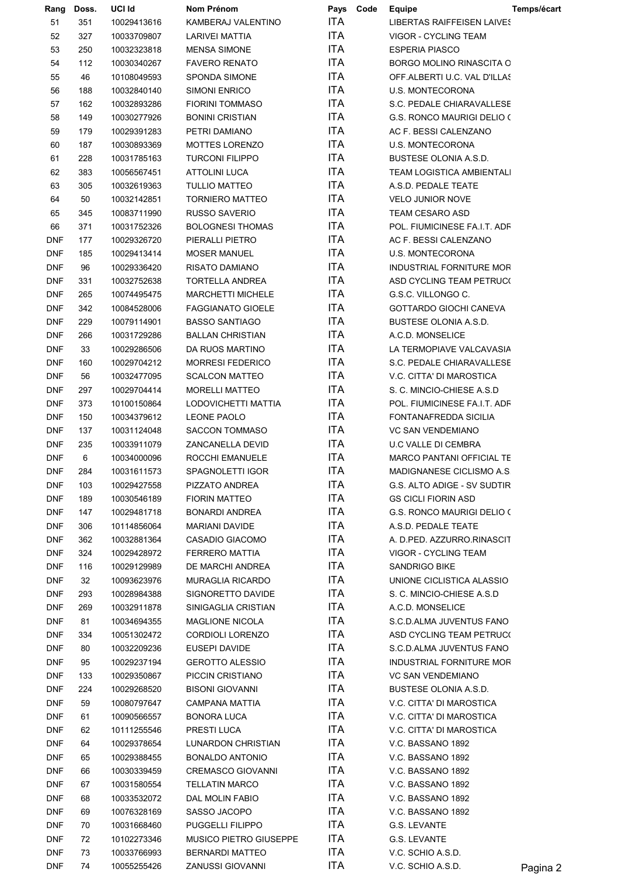| Rang       | Doss. | UCI Id      | Nom Prénom                    | Pays       | Code | Equipe                            | Temps/écart |
|------------|-------|-------------|-------------------------------|------------|------|-----------------------------------|-------------|
| 51         | 351   | 10029413616 | KAMBERAJ VALENTINO            | <b>ITA</b> |      | <b>LIBERTAS RAIFFEISEN LAIVES</b> |             |
| 52         | 327   | 10033709807 | LARIVEI MATTIA                | <b>ITA</b> |      | VIGOR - CYCLING TEAM              |             |
| 53         | 250   | 10032323818 | <b>MENSA SIMONE</b>           | <b>ITA</b> |      | <b>ESPERIA PIASCO</b>             |             |
| 54         | 112   | 10030340267 | <b>FAVERO RENATO</b>          | <b>ITA</b> |      | <b>BORGO MOLINO RINASCITA C</b>   |             |
| 55         | 46    | 10108049593 | SPONDA SIMONE                 | <b>ITA</b> |      | OFF.ALBERTI U.C. VAL D'ILLAS      |             |
| 56         | 188   | 10032840140 | <b>SIMONI ENRICO</b>          | <b>ITA</b> |      | <b>U.S. MONTECORONA</b>           |             |
| 57         | 162   | 10032893286 | <b>FIORINI TOMMASO</b>        | <b>ITA</b> |      | S.C. PEDALE CHIARAVALLESE         |             |
| 58         | 149   | 10030277926 | <b>BONINI CRISTIAN</b>        | <b>ITA</b> |      | G.S. RONCO MAURIGI DELIO (        |             |
| 59         | 179   | 10029391283 | PETRI DAMIANO                 | <b>ITA</b> |      | AC F. BESSI CALENZANO             |             |
| 60         | 187   | 10030893369 | MOTTES LORENZO                | <b>ITA</b> |      | U.S. MONTECORONA                  |             |
| 61         | 228   | 10031785163 | <b>TURCONI FILIPPO</b>        | <b>ITA</b> |      | <b>BUSTESE OLONIA A.S.D.</b>      |             |
| 62         | 383   | 10056567451 | <b>ATTOLINI LUCA</b>          | <b>ITA</b> |      | <b>TEAM LOGISTICA AMBIENTALI</b>  |             |
| 63         | 305   | 10032619363 | <b>TULLIO MATTEO</b>          | <b>ITA</b> |      | A.S.D. PEDALE TEATE               |             |
| 64         | 50    | 10032142851 | <b>TORNIERO MATTEO</b>        | <b>ITA</b> |      | <b>VELO JUNIOR NOVE</b>           |             |
| 65         | 345   | 10083711990 | <b>RUSSO SAVERIO</b>          | <b>ITA</b> |      | <b>TEAM CESARO ASD</b>            |             |
|            |       |             |                               | <b>ITA</b> |      | POL. FIUMICINESE FA.I.T. ADF      |             |
| 66         | 371   | 10031752326 | <b>BOLOGNESI THOMAS</b>       |            |      |                                   |             |
| <b>DNF</b> | 177   | 10029326720 | PIERALLI PIETRO               | ITA        |      | AC F. BESSI CALENZANO             |             |
| <b>DNF</b> | 185   | 10029413414 | <b>MOSER MANUEL</b>           | <b>ITA</b> |      | <b>U.S. MONTECORONA</b>           |             |
| <b>DNF</b> | 96    | 10029336420 | <b>RISATO DAMIANO</b>         | <b>ITA</b> |      | INDUSTRIAL FORNITURE MOR          |             |
| <b>DNF</b> | 331   | 10032752638 | TORTELLA ANDREA               | <b>ITA</b> |      | ASD CYCLING TEAM PETRUC(          |             |
| <b>DNF</b> | 265   | 10074495475 | MARCHETTI MICHELE             | <b>ITA</b> |      | G.S.C. VILLONGO C.                |             |
| <b>DNF</b> | 342   | 10084528006 | <b>FAGGIANATO GIOELE</b>      | <b>ITA</b> |      | <b>GOTTARDO GIOCHI CANEVA</b>     |             |
| <b>DNF</b> | 229   | 10079114901 | <b>BASSO SANTIAGO</b>         | <b>ITA</b> |      | <b>BUSTESE OLONIA A.S.D.</b>      |             |
| <b>DNF</b> | 266   | 10031729286 | <b>BALLAN CHRISTIAN</b>       | <b>ITA</b> |      | A.C.D. MONSELICE                  |             |
| <b>DNF</b> | 33    | 10029286506 | DA RUOS MARTINO               | <b>ITA</b> |      | LA TERMOPIAVE VALCAVASIA          |             |
| <b>DNF</b> | 160   | 10029704212 | <b>MORRESI FEDERICO</b>       | <b>ITA</b> |      | S.C. PEDALE CHIARAVALLESE         |             |
| <b>DNF</b> | 56    | 10032477095 | <b>SCALCON MATTEO</b>         | <b>ITA</b> |      | V.C. CITTA' DI MAROSTICA          |             |
| <b>DNF</b> | 297   | 10029704414 | <b>MORELLI MATTEO</b>         | <b>ITA</b> |      | S. C. MINCIO-CHIESE A.S.D         |             |
| <b>DNF</b> | 373   | 10100150864 | LODOVICHETTI MATTIA           | <b>ITA</b> |      | POL. FIUMICINESE FA.I.T. ADF      |             |
| <b>DNF</b> | 150   | 10034379612 | <b>LEONE PAOLO</b>            | <b>ITA</b> |      | FONTANAFREDDA SICILIA             |             |
| <b>DNF</b> | 137   | 10031124048 | <b>SACCON TOMMASO</b>         | <b>ITA</b> |      | <b>VC SAN VENDEMIANO</b>          |             |
| <b>DNF</b> | 235   | 10033911079 | ZANCANELLA DEVID              | <b>ITA</b> |      | <b>U.C VALLE DI CEMBRA</b>        |             |
| <b>DNF</b> | 6     | 10034000096 | ROCCHI EMANUELE               | <b>ITA</b> |      | <b>MARCO PANTANI OFFICIAL TE</b>  |             |
| <b>DNF</b> | 284   | 10031611573 | SPAGNOLETTI IGOR              | <b>ITA</b> |      | MADIGNANESE CICLISMO A.S          |             |
| <b>DNF</b> | 103   | 10029427558 | PIZZATO ANDREA                | ITA        |      | G.S. ALTO ADIGE - SV SUDTIR       |             |
| <b>DNF</b> | 189   | 10030546189 | <b>FIORIN MATTEO</b>          | ITA        |      | <b>GS CICLI FIORIN ASD</b>        |             |
| <b>DNF</b> | 147   | 10029481718 | <b>BONARDI ANDREA</b>         | ITA        |      | G.S. RONCO MAURIGI DELIO (        |             |
| <b>DNF</b> | 306   | 10114856064 | <b>MARIANI DAVIDE</b>         | ITA        |      | A.S.D. PEDALE TEATE               |             |
| <b>DNF</b> | 362   | 10032881364 | CASADIO GIACOMO               | ITA        |      | A. D.PED. AZZURRO.RINASCIT        |             |
| <b>DNF</b> | 324   | 10029428972 | FERRERO MATTIA                | ITA        |      | VIGOR - CYCLING TEAM              |             |
| <b>DNF</b> | 116   | 10029129989 | DE MARCHI ANDREA              | ITA        |      | SANDRIGO BIKE                     |             |
| <b>DNF</b> | 32    | 10093623976 | MURAGLIA RICARDO              | ITA        |      | UNIONE CICLISTICA ALASSIO         |             |
| <b>DNF</b> | 293   | 10028984388 | SIGNORETTO DAVIDE             | ITA.       |      | S. C. MINCIO-CHIESE A.S.D         |             |
| <b>DNF</b> | 269   | 10032911878 | SINIGAGLIA CRISTIAN           | ITA.       |      | A.C.D. MONSELICE                  |             |
| <b>DNF</b> | 81    | 10034694355 | <b>MAGLIONE NICOLA</b>        | ITA.       |      | S.C.D.ALMA JUVENTUS FANO          |             |
| <b>DNF</b> | 334   | 10051302472 | CORDIOLI LORENZO              | ITA        |      | ASD CYCLING TEAM PETRUC(          |             |
| <b>DNF</b> | 80    | 10032209236 | EUSEPI DAVIDE                 | ITA        |      | S.C.D.ALMA JUVENTUS FANO          |             |
|            | 95    | 10029237194 | <b>GEROTTO ALESSIO</b>        | ITA        |      | INDUSTRIAL FORNITURE MOR          |             |
| <b>DNF</b> |       |             |                               | ITA        |      |                                   |             |
| <b>DNF</b> | 133   | 10029350867 | PICCIN CRISTIANO              | ITA.       |      | <b>VC SAN VENDEMIANO</b>          |             |
| <b>DNF</b> | 224   | 10029268520 | <b>BISONI GIOVANNI</b>        | ITA        |      | BUSTESE OLONIA A.S.D.             |             |
| <b>DNF</b> | 59    | 10080797647 | CAMPANA MATTIA                |            |      | V.C. CITTA' DI MAROSTICA          |             |
| <b>DNF</b> | 61    | 10090566557 | BONORA LUCA                   | ITA        |      | V.C. CITTA' DI MAROSTICA          |             |
| <b>DNF</b> | 62    | 10111255546 | PRESTI LUCA                   | ITA        |      | V.C. CITTA' DI MAROSTICA          |             |
| <b>DNF</b> | 64    | 10029378654 | LUNARDON CHRISTIAN            | ITA.       |      | V.C. BASSANO 1892                 |             |
| <b>DNF</b> | 65    | 10029388455 | BONALDO ANTONIO               | ITA.       |      | V.C. BASSANO 1892                 |             |
| <b>DNF</b> | 66    | 10030339459 | <b>CREMASCO GIOVANNI</b>      | ITA        |      | V.C. BASSANO 1892                 |             |
| <b>DNF</b> | 67    | 10031580554 | TELLATIN MARCO                | ITA        |      | V.C. BASSANO 1892                 |             |
| <b>DNF</b> | 68    | 10033532072 | DAL MOLIN FABIO               | ITA        |      | V.C. BASSANO 1892                 |             |
| <b>DNF</b> | 69    | 10076328169 | SASSO JACOPO                  | ITA        |      | V.C. BASSANO 1892                 |             |
| <b>DNF</b> | 70    | 10031668460 | PUGGELLI FILIPPO              | ITA.       |      | G.S. LEVANTE                      |             |
| <b>DNF</b> | 72    | 10102273346 | <b>MUSICO PIETRO GIUSEPPE</b> | ITA        |      | G.S. LEVANTE                      |             |
| <b>DNF</b> | 73    | 10033766993 | <b>BERNARDI MATTEO</b>        | ITA.       |      | V.C. SCHIO A.S.D.                 |             |
| <b>DNF</b> | 74    | 10055255426 | <b>ZANUSSI GIOVANNI</b>       | ITA        |      | V.C. SCHIO A.S.D.                 | Pagina 2    |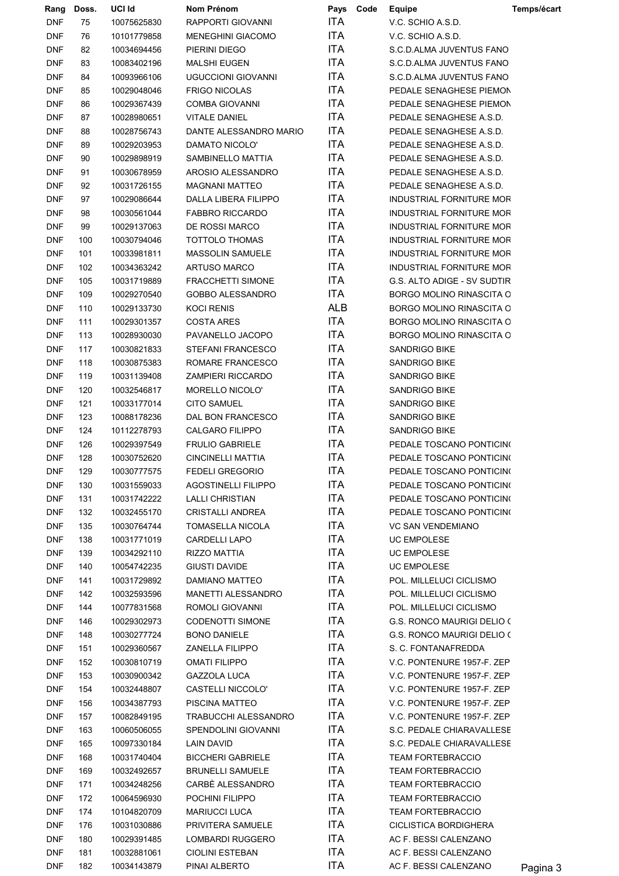| Rang        | Doss. | UCI Id      | Nom Prénom                 | Pays       | Code | Equipe                          | Temps/écart |
|-------------|-------|-------------|----------------------------|------------|------|---------------------------------|-------------|
| <b>DNF</b>  | 75    | 10075625830 | RAPPORTI GIOVANNI          | <b>ITA</b> |      | V.C. SCHIO A.S.D.               |             |
| <b>DNF</b>  | 76    | 10101779858 | <b>MENEGHINI GIACOMO</b>   | <b>ITA</b> |      | V.C. SCHIO A.S.D.               |             |
| <b>DNF</b>  | 82    | 10034694456 | PIERINI DIEGO              | <b>ITA</b> |      | S.C.D.ALMA JUVENTUS FANO        |             |
| <b>DNF</b>  | 83    | 10083402196 | <b>MALSHI EUGEN</b>        | ITA.       |      | S.C.D.ALMA JUVENTUS FANO        |             |
| <b>DNF</b>  | 84    | 10093966106 | <b>UGUCCIONI GIOVANNI</b>  | <b>ITA</b> |      | S.C.D.ALMA JUVENTUS FANO        |             |
| <b>DNF</b>  | 85    | 10029048046 | <b>FRIGO NICOLAS</b>       | <b>ITA</b> |      | PEDALE SENAGHESE PIEMON         |             |
| <b>DNF</b>  | 86    | 10029367439 | <b>COMBA GIOVANNI</b>      | <b>ITA</b> |      | PEDALE SENAGHESE PIEMON         |             |
| <b>DNF</b>  | 87    | 10028980651 | <b>VITALE DANIEL</b>       | <b>ITA</b> |      | PEDALE SENAGHESE A.S.D.         |             |
| <b>DNF</b>  | 88    | 10028756743 | DANTE ALESSANDRO MARIO     | <b>ITA</b> |      | PEDALE SENAGHESE A.S.D.         |             |
| <b>DNF</b>  | 89    | 10029203953 | DAMATO NICOLO'             | <b>ITA</b> |      | PEDALE SENAGHESE A.S.D.         |             |
| <b>DNF</b>  | 90    | 10029898919 | SAMBINELLO MATTIA          | <b>ITA</b> |      | PEDALE SENAGHESE A.S.D.         |             |
| <b>DNF</b>  | 91    | 10030678959 | AROSIO ALESSANDRO          | <b>ITA</b> |      | PEDALE SENAGHESE A.S.D.         |             |
| <b>DNF</b>  | 92    | 10031726155 | <b>MAGNANI MATTEO</b>      | <b>ITA</b> |      | PEDALE SENAGHESE A.S.D.         |             |
| <b>DNF</b>  | 97    | 10029086644 | DALLA LIBERA FILIPPO       | <b>ITA</b> |      | INDUSTRIAL FORNITURE MOR        |             |
| <b>DNF</b>  | 98    | 10030561044 | <b>FABBRO RICCARDO</b>     | ITA        |      | INDUSTRIAL FORNITURE MOR        |             |
| <b>DNF</b>  | 99    | 10029137063 | DE ROSSI MARCO             | <b>ITA</b> |      | INDUSTRIAL FORNITURE MOF        |             |
| <b>DNF</b>  | 100   | 10030794046 | <b>TOTTOLO THOMAS</b>      | <b>ITA</b> |      | INDUSTRIAL FORNITURE MOR        |             |
| <b>DNF</b>  | 101   | 10033981811 | MASSOLIN SAMUELE           | <b>ITA</b> |      | INDUSTRIAL FORNITURE MOR        |             |
| <b>DNF</b>  | 102   | 10034363242 | <b>ARTUSO MARCO</b>        | <b>ITA</b> |      | INDUSTRIAL FORNITURE MOR        |             |
| <b>DNF</b>  | 105   | 10031719889 | FRACCHETTI SIMONE          | <b>ITA</b> |      | G.S. ALTO ADIGE - SV SUDTIR     |             |
| <b>DNF</b>  | 109   | 10029270540 | GOBBO ALESSANDRO           | <b>ITA</b> |      | <b>BORGO MOLINO RINASCITA C</b> |             |
| ${\sf DNF}$ | 110   | 10029133730 | <b>KOCI RENIS</b>          | <b>ALB</b> |      | BORGO MOLINO RINASCITA C        |             |
|             |       |             |                            | <b>ITA</b> |      |                                 |             |
| <b>DNF</b>  | 111   | 10029301357 | <b>COSTA ARES</b>          | <b>ITA</b> |      | <b>BORGO MOLINO RINASCITA C</b> |             |
| <b>DNF</b>  | 113   | 10028930030 | PAVANELLO JACOPO           |            |      | BORGO MOLINO RINASCITA C        |             |
| <b>DNF</b>  | 117   | 10030821833 | STEFANI FRANCESCO          | <b>ITA</b> |      | <b>SANDRIGO BIKE</b>            |             |
| <b>DNF</b>  | 118   | 10030875383 | ROMARE FRANCESCO           | <b>ITA</b> |      | <b>SANDRIGO BIKE</b>            |             |
| <b>DNF</b>  | 119   | 10031139408 | <b>ZAMPIERI RICCARDO</b>   | <b>ITA</b> |      | <b>SANDRIGO BIKE</b>            |             |
| <b>DNF</b>  | 120   | 10032546817 | MORELLO NICOLO'            | <b>ITA</b> |      | <b>SANDRIGO BIKE</b>            |             |
| <b>DNF</b>  | 121   | 10033177014 | <b>CITO SAMUEL</b>         | <b>ITA</b> |      | SANDRIGO BIKE                   |             |
| <b>DNF</b>  | 123   | 10088178236 | DAL BON FRANCESCO          | <b>ITA</b> |      | SANDRIGO BIKE                   |             |
| <b>DNF</b>  | 124   | 10112278793 | <b>CALGARO FILIPPO</b>     | <b>ITA</b> |      | SANDRIGO BIKE                   |             |
| <b>DNF</b>  | 126   | 10029397549 | FRULIO GABRIELE            | ITA        |      | PEDALE TOSCANO PONTICINO        |             |
| <b>DNF</b>  | 128   | 10030752620 | <b>CINCINELLI MATTIA</b>   | <b>ITA</b> |      | PEDALE TOSCANO PONTICINO        |             |
| <b>DNF</b>  | 129   | 10030777575 | FEDELI GREGORIO            | <b>ITA</b> |      | PEDALE TOSCANO PONTICINO        |             |
| <b>DNF</b>  | 130   | 10031559033 | <b>AGOSTINELLI FILIPPO</b> | ITA        |      | PEDALE TOSCANO PONTICINO        |             |
| <b>DNF</b>  | 131   | 10031742222 | <b>LALLI CHRISTIAN</b>     | <b>ITA</b> |      | PEDALE TOSCANO PONTICINO        |             |
| <b>DNF</b>  | 132   | 10032455170 | <b>CRISTALLI ANDREA</b>    | ITA        |      | PEDALE TOSCANO PONTICINO        |             |
| <b>DNF</b>  | 135   | 10030764744 | <b>TOMASELLA NICOLA</b>    | ITA        |      | <b>VC SAN VENDEMIANO</b>        |             |
| <b>DNF</b>  | 138   | 10031771019 | CARDELLI LAPO              | <b>ITA</b> |      | <b>UC EMPOLESE</b>              |             |
| <b>DNF</b>  | 139   | 10034292110 | RIZZO MATTIA               | ITA        |      | <b>UC EMPOLESE</b>              |             |
| <b>DNF</b>  | 140   | 10054742235 | <b>GIUSTI DAVIDE</b>       | <b>ITA</b> |      | <b>UC EMPOLESE</b>              |             |
| <b>DNF</b>  | 141   | 10031729892 | DAMIANO MATTEO             | ITA        |      | POL. MILLELUCI CICLISMO         |             |
| <b>DNF</b>  | 142   | 10032593596 | MANETTI ALESSANDRO         | ITA        |      | POL. MILLELUCI CICLISMO         |             |
| <b>DNF</b>  | 144   | 10077831568 | ROMOLI GIOVANNI            | ITA.       |      | POL. MILLELUCI CICLISMO         |             |
| <b>DNF</b>  | 146   | 10029302973 | <b>CODENOTTI SIMONE</b>    | ITA        |      | G.S. RONCO MAURIGI DELIO (      |             |
| <b>DNF</b>  | 148   | 10030277724 | <b>BONO DANIELE</b>        | ITA        |      | G.S. RONCO MAURIGI DELIO (      |             |
| <b>DNF</b>  | 151   | 10029360567 | <b>ZANELLA FILIPPO</b>     | ITA        |      | S. C. FONTANAFREDDA             |             |
| <b>DNF</b>  | 152   | 10030810719 | <b>OMATI FILIPPO</b>       | ITA.       |      | V.C. PONTENURE 1957-F. ZEP      |             |
| <b>DNF</b>  | 153   | 10030900342 | <b>GAZZOLA LUCA</b>        | <b>ITA</b> |      | V.C. PONTENURE 1957-F. ZEP      |             |
| <b>DNF</b>  | 154   | 10032448807 | CASTELLI NICCOLO'          | ITA        |      | V.C. PONTENURE 1957-F. ZEP      |             |
| <b>DNF</b>  | 156   | 10034387793 | PISCINA MATTEO             | ITA        |      | V.C. PONTENURE 1957-F. ZEP      |             |
| <b>DNF</b>  | 157   | 10082849195 | TRABUCCHI ALESSANDRO       | ITA        |      | V.C. PONTENURE 1957-F. ZEP      |             |
| <b>DNF</b>  | 163   | 10060506055 | SPENDOLINI GIOVANNI        | ITA        |      | S.C. PEDALE CHIARAVALLESE       |             |
| <b>DNF</b>  | 165   | 10097330184 | <b>LAIN DAVID</b>          | ITA        |      | S.C. PEDALE CHIARAVALLESE       |             |
| <b>DNF</b>  | 168   | 10031740404 | <b>BICCHERI GABRIELE</b>   | ITA        |      | <b>TEAM FORTEBRACCIO</b>        |             |
| <b>DNF</b>  | 169   | 10032492657 | <b>BRUNELLI SAMUELE</b>    | <b>ITA</b> |      | <b>TEAM FORTEBRACCIO</b>        |             |
| <b>DNF</b>  | 171   | 10034248256 | CARBÈ ALESSANDRO           | ITA        |      | <b>TEAM FORTEBRACCIO</b>        |             |
| <b>DNF</b>  | 172   | 10064596930 | POCHINI FILIPPO            | ITA        |      | <b>TEAM FORTEBRACCIO</b>        |             |
| <b>DNF</b>  | 174   | 10104820709 | <b>MARIUCCI LUCA</b>       | ITA.       |      | <b>TEAM FORTEBRACCIO</b>        |             |
| <b>DNF</b>  | 176   | 10031030886 | PRIVITERA SAMUELE          | ITA        |      | <b>CICLISTICA BORDIGHERA</b>    |             |
| <b>DNF</b>  | 180   | 10029391485 | LOMBARDI RUGGERO           | ITA        |      | AC F. BESSI CALENZANO           |             |
| <b>DNF</b>  | 181   | 10032881061 | <b>CIOLINI ESTEBAN</b>     | ITA        |      | AC F. BESSI CALENZANO           |             |
| <b>DNF</b>  | 182   | 10034143879 | PINAI ALBERTO              | <b>ITA</b> |      | AC F. BESSI CALENZANO           | Pagina 3    |
|             |       |             |                            |            |      |                                 |             |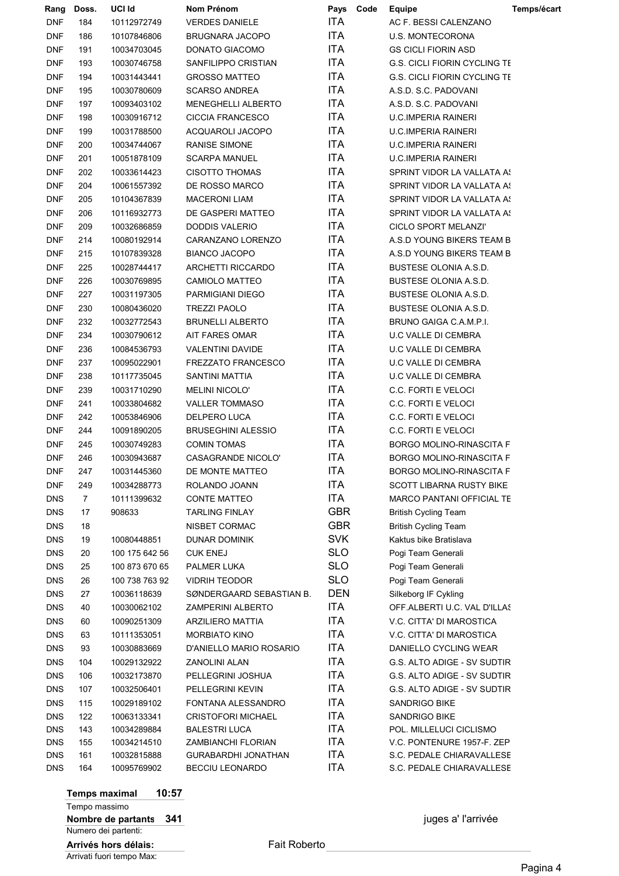| Rang           | Doss. | UCI Id         | Nom Prénom                | Pays Code  | <b>Equipe</b>                       | Temps/écart |
|----------------|-------|----------------|---------------------------|------------|-------------------------------------|-------------|
| <b>DNF</b>     | 184   | 10112972749    | <b>VERDES DANIELE</b>     | <b>ITA</b> | AC F. BESSI CALENZANO               |             |
| <b>DNF</b>     | 186   | 10107846806    | BRUGNARA JACOPO           | <b>ITA</b> | <b>U.S. MONTECORONA</b>             |             |
| <b>DNF</b>     | 191   | 10034703045    | DONATO GIACOMO            | ITA        | <b>GS CICLI FIORIN ASD</b>          |             |
| <b>DNF</b>     | 193   | 10030746758    | SANFILIPPO CRISTIAN       | ITA        | <b>G.S. CICLI FIORIN CYCLING TE</b> |             |
| <b>DNF</b>     | 194   | 10031443441    | <b>GROSSO MATTEO</b>      | <b>ITA</b> | <b>G.S. CICLI FIORIN CYCLING TE</b> |             |
| <b>DNF</b>     | 195   | 10030780609    | <b>SCARSO ANDREA</b>      | <b>ITA</b> | A.S.D. S.C. PADOVANI                |             |
| <b>DNF</b>     | 197   | 10093403102    | MENEGHELLI ALBERTO        | <b>ITA</b> | A.S.D. S.C. PADOVANI                |             |
| <b>DNF</b>     | 198   | 10030916712    | <b>CICCIA FRANCESCO</b>   | <b>ITA</b> | <b>U.C.IMPERIA RAINERI</b>          |             |
| <b>DNF</b>     | 199   | 10031788500    | ACQUAROLI JACOPO          | <b>ITA</b> | <b>U.C.IMPERIA RAINERI</b>          |             |
| <b>DNF</b>     | 200   | 10034744067    | RANISE SIMONE             | <b>ITA</b> | <b>U.C.IMPERIA RAINERI</b>          |             |
| <b>DNF</b>     | 201   | 10051878109    | <b>SCARPA MANUEL</b>      | ITA        | <b>U.C.IMPERIA RAINERI</b>          |             |
| <b>DNF</b>     | 202   | 10033614423    | <b>CISOTTO THOMAS</b>     | ITA        | SPRINT VIDOR LA VALLATA A!          |             |
| <b>DNF</b>     | 204   | 10061557392    | DE ROSSO MARCO            | <b>ITA</b> | SPRINT VIDOR LA VALLATA A!          |             |
| <b>DNF</b>     | 205   | 10104367839    | <b>MACERONI LIAM</b>      | <b>ITA</b> | SPRINT VIDOR LA VALLATA A!          |             |
| <b>DNF</b>     | 206   | 10116932773    | DE GASPERI MATTEO         | ITA        | SPRINT VIDOR LA VALLATA A!          |             |
| <b>DNF</b>     | 209   | 10032686859    | <b>DODDIS VALERIO</b>     | <b>ITA</b> | CICLO SPORT MELANZI'                |             |
| <b>DNF</b>     | 214   | 10080192914    | CARANZANO LORENZO         | ITA        | A.S.D YOUNG BIKERS TEAM B           |             |
| <b>DNF</b>     | 215   | 10107839328    | <b>BIANCO JACOPO</b>      | <b>ITA</b> | A.S.D YOUNG BIKERS TEAM B           |             |
| <b>DNF</b>     | 225   | 10028744417    | ARCHETTI RICCARDO         | <b>ITA</b> | BUSTESE OLONIA A.S.D.               |             |
| <b>DNF</b>     | 226   | 10030769895    | CAMIOLO MATTEO            | <b>ITA</b> | <b>BUSTESE OLONIA A.S.D.</b>        |             |
| <b>DNF</b>     | 227   | 10031197305    | PARMIGIANI DIEGO          | <b>ITA</b> | BUSTESE OLONIA A.S.D.               |             |
| <b>DNF</b>     | 230   | 10080436020    | <b>TREZZI PAOLO</b>       | ITA        | <b>BUSTESE OLONIA A.S.D.</b>        |             |
| <b>DNF</b>     | 232   | 10032772543    | <b>BRUNELLI ALBERTO</b>   | <b>ITA</b> | BRUNO GAIGA C.A.M.P.I.              |             |
| <b>DNF</b>     | 234   | 10030790612    | AIT FARES OMAR            | ITA        | <b>U.C VALLE DI CEMBRA</b>          |             |
| <b>DNF</b>     | 236   | 10084536793    | VALENTINI DAVIDE          | ITA        | <b>U.C VALLE DI CEMBRA</b>          |             |
| <b>DNF</b>     | 237   | 10095022901    | <b>FREZZATO FRANCESCO</b> | ITA        | <b>U.C VALLE DI CEMBRA</b>          |             |
| <b>DNF</b>     | 238   | 10117735045    | SANTINI MATTIA            | ITA        | <b>U.C VALLE DI CEMBRA</b>          |             |
| <b>DNF</b>     | 239   | 10031710290    | <b>MELINI NICOLO'</b>     | <b>ITA</b> | C.C. FORTI E VELOCI                 |             |
| <b>DNF</b>     | 241   | 10033804682    | <b>VALLER TOMMASO</b>     | ITA        | C.C. FORTI E VELOCI                 |             |
| <b>DNF</b>     | 242   | 10053846906    | DELPERO LUCA              | ITA        | C.C. FORTI E VELOCI                 |             |
| <b>DNF</b>     | 244   | 10091890205    | <b>BRUSEGHINI ALESSIO</b> | ITA        | C.C. FORTI E VELOCI                 |             |
| <b>DNF</b>     | 245   | 10030749283    | <b>COMIN TOMAS</b>        | <b>ITA</b> | BORGO MOLINO-RINASCITA F            |             |
| <b>DNF</b>     | 246   | 10030943687    | CASAGRANDE NICOLO'        | <b>ITA</b> | <b>BORGO MOLINO-RINASCITA F</b>     |             |
| $\mathsf{DNF}$ | 247   | 10031445360    | DE MONTE MATTEO           | <b>ITA</b> | BORGO MOLINO-RINASCITA F            |             |
| <b>DNF</b>     | 249   | 10034288773    | ROLANDO JOANN             | <b>ITA</b> | <b>SCOTT LIBARNA RUSTY BIKE</b>     |             |
| <b>DNS</b>     | 7     | 10111399632    | <b>CONTE MATTEO</b>       | ITA        | MARCO PANTANI OFFICIAL TE           |             |
| <b>DNS</b>     | 17    | 908633         | <b>TARLING FINLAY</b>     | <b>GBR</b> | <b>British Cycling Team</b>         |             |
| <b>DNS</b>     | 18    |                | NISBET CORMAC             | <b>GBR</b> | <b>British Cycling Team</b>         |             |
| <b>DNS</b>     | 19    | 10080448851    | DUNAR DOMINIK             | <b>SVK</b> | Kaktus bike Bratislava              |             |
| <b>DNS</b>     | 20    | 100 175 642 56 | <b>CUK ENEJ</b>           | <b>SLO</b> | Pogi Team Generali                  |             |
| <b>DNS</b>     | 25    | 100 873 670 65 | PALMER LUKA               | <b>SLO</b> | Pogi Team Generali                  |             |
| <b>DNS</b>     | 26    | 100 738 763 92 | <b>VIDRIH TEODOR</b>      | <b>SLO</b> | Pogi Team Generali                  |             |
| <b>DNS</b>     | 27    | 10036118639    | SØNDERGAARD SEBASTIAN B.  | DEN        | Silkeborg IF Cykling                |             |
| <b>DNS</b>     | 40    | 10030062102    | ZAMPERINI ALBERTO         | ITA        | OFF ALBERTI U.C. VAL D'ILLAS        |             |
| <b>DNS</b>     | 60    | 10090251309    | ARZILIERO MATTIA          | <b>ITA</b> | V.C. CITTA' DI MAROSTICA            |             |
| <b>DNS</b>     | 63    | 10111353051    | <b>MORBIATO KINO</b>      | <b>ITA</b> | V.C. CITTA' DI MAROSTICA            |             |
| <b>DNS</b>     | 93    | 10030883669    | D'ANIELLO MARIO ROSARIO   | ITA        | DANIELLO CYCLING WEAR               |             |
| <b>DNS</b>     | 104   | 10029132922    | ZANOLINI ALAN             | <b>ITA</b> | G.S. ALTO ADIGE - SV SUDTIR         |             |
| <b>DNS</b>     | 106   | 10032173870    | PELLEGRINI JOSHUA         | <b>ITA</b> | G.S. ALTO ADIGE - SV SUDTIR         |             |
| <b>DNS</b>     | 107   | 10032506401    | PELLEGRINI KEVIN          | ITA        | G.S. ALTO ADIGE - SV SUDTIR         |             |
| <b>DNS</b>     | 115   | 10029189102    | FONTANA ALESSANDRO        | <b>ITA</b> | SANDRIGO BIKE                       |             |
| <b>DNS</b>     | 122   | 10063133341    | <b>CRISTOFORI MICHAEL</b> | <b>ITA</b> | SANDRIGO BIKE                       |             |
| <b>DNS</b>     | 143   | 10034289884    | <b>BALESTRI LUCA</b>      | <b>ITA</b> | POL. MILLELUCI CICLISMO             |             |
| <b>DNS</b>     | 155   | 10034214510    | ZAMBIANCHI FLORIAN        | <b>ITA</b> | V.C. PONTENURE 1957-F. ZEP          |             |
| <b>DNS</b>     | 161   | 10032815888    | GURABARDHI JONATHAN       | ITA        | S.C. PEDALE CHIARAVALLESE           |             |
| <b>DNS</b>     | 164   | 10095769902    | BECCIU LEONARDO           | ITA        | S.C. PEDALE CHIARAVALLESE           |             |
|                |       |                |                           |            |                                     |             |

Temps maximal 10:57 Tempo massimo Nombre de partants 341 **intervention and the set of the set of the set of the set of the set of the set of the set of the set of the set of the set of the set of the set of the set of the set of the set of the set of the s** Numero dei partenti: Arrivés hors délais: Fait Roberto Arrivati fuori tempo Max: